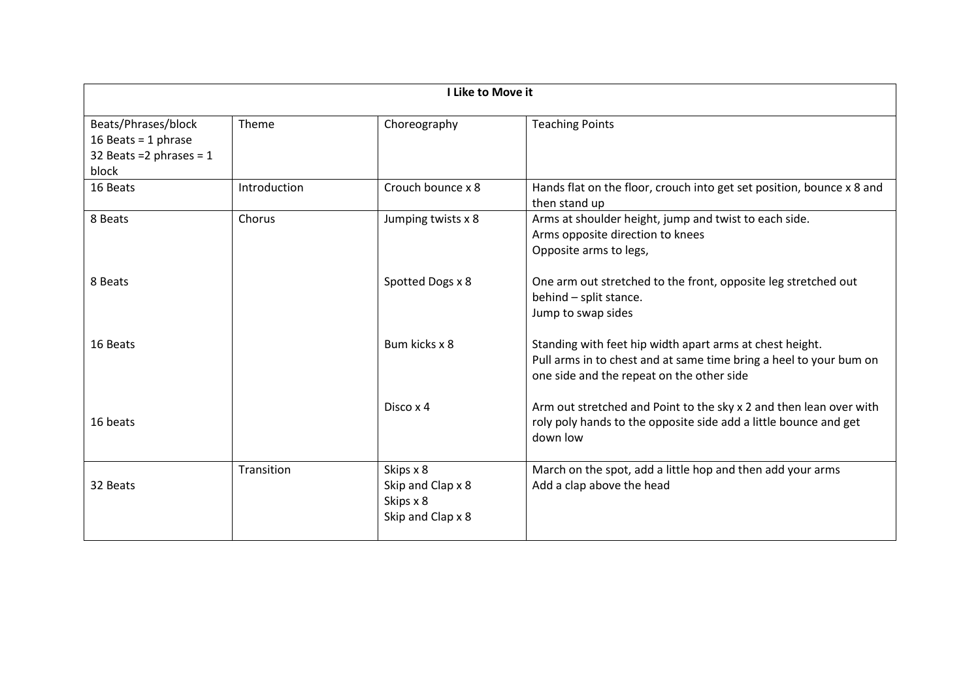| I Like to Move it                                                                   |              |                                                                  |                                                                                                                                                                             |
|-------------------------------------------------------------------------------------|--------------|------------------------------------------------------------------|-----------------------------------------------------------------------------------------------------------------------------------------------------------------------------|
| Beats/Phrases/block<br>16 Beats = 1 phrase<br>32 Beats = $2$ phrases = $1$<br>block | Theme        | Choreography                                                     | <b>Teaching Points</b>                                                                                                                                                      |
| 16 Beats                                                                            | Introduction | Crouch bounce x 8                                                | Hands flat on the floor, crouch into get set position, bounce x 8 and<br>then stand up                                                                                      |
| 8 Beats                                                                             | Chorus       | Jumping twists x 8                                               | Arms at shoulder height, jump and twist to each side.<br>Arms opposite direction to knees<br>Opposite arms to legs,                                                         |
| 8 Beats                                                                             |              | Spotted Dogs x 8                                                 | One arm out stretched to the front, opposite leg stretched out<br>behind - split stance.<br>Jump to swap sides                                                              |
| 16 Beats                                                                            |              | Bum kicks x 8                                                    | Standing with feet hip width apart arms at chest height.<br>Pull arms in to chest and at same time bring a heel to your bum on<br>one side and the repeat on the other side |
| 16 beats                                                                            |              | Disco x 4                                                        | Arm out stretched and Point to the sky x 2 and then lean over with<br>roly poly hands to the opposite side add a little bounce and get<br>down low                          |
| 32 Beats                                                                            | Transition   | Skips x 8<br>Skip and Clap x 8<br>Skips x 8<br>Skip and Clap x 8 | March on the spot, add a little hop and then add your arms<br>Add a clap above the head                                                                                     |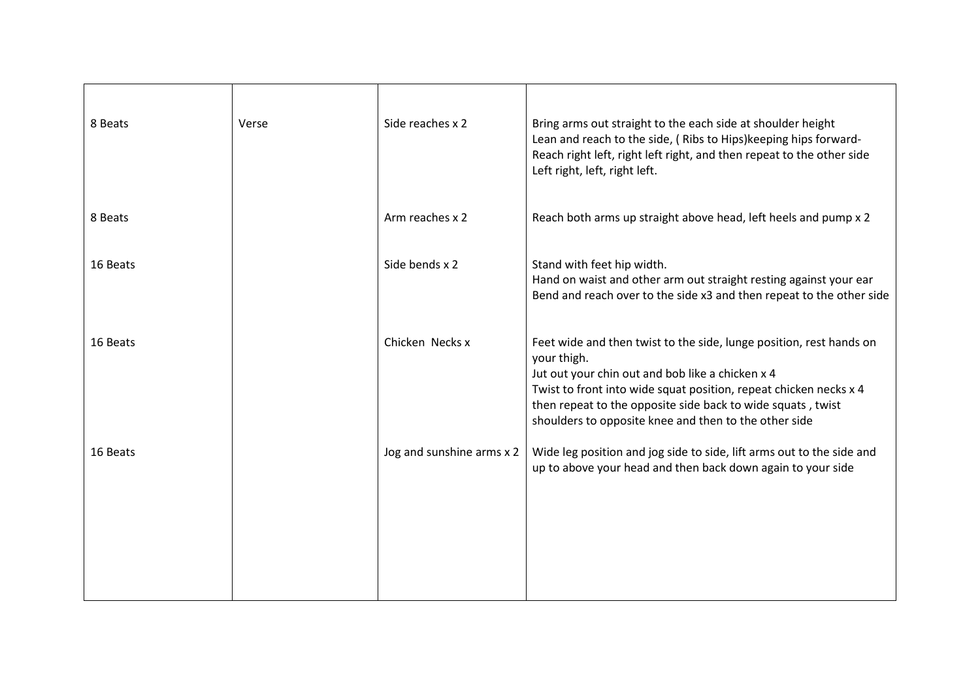| 8 Beats  | Verse | Side reaches x 2          | Bring arms out straight to the each side at shoulder height<br>Lean and reach to the side, (Ribs to Hips) keeping hips forward-<br>Reach right left, right left right, and then repeat to the other side<br>Left right, left, right left.                                                                                           |
|----------|-------|---------------------------|-------------------------------------------------------------------------------------------------------------------------------------------------------------------------------------------------------------------------------------------------------------------------------------------------------------------------------------|
| 8 Beats  |       | Arm reaches x 2           | Reach both arms up straight above head, left heels and pump x 2                                                                                                                                                                                                                                                                     |
| 16 Beats |       | Side bends x 2            | Stand with feet hip width.<br>Hand on waist and other arm out straight resting against your ear<br>Bend and reach over to the side x3 and then repeat to the other side                                                                                                                                                             |
| 16 Beats |       | Chicken Necks x           | Feet wide and then twist to the side, lunge position, rest hands on<br>your thigh.<br>Jut out your chin out and bob like a chicken x 4<br>Twist to front into wide squat position, repeat chicken necks x 4<br>then repeat to the opposite side back to wide squats, twist<br>shoulders to opposite knee and then to the other side |
| 16 Beats |       | Jog and sunshine arms x 2 | Wide leg position and jog side to side, lift arms out to the side and<br>up to above your head and then back down again to your side                                                                                                                                                                                                |
|          |       |                           |                                                                                                                                                                                                                                                                                                                                     |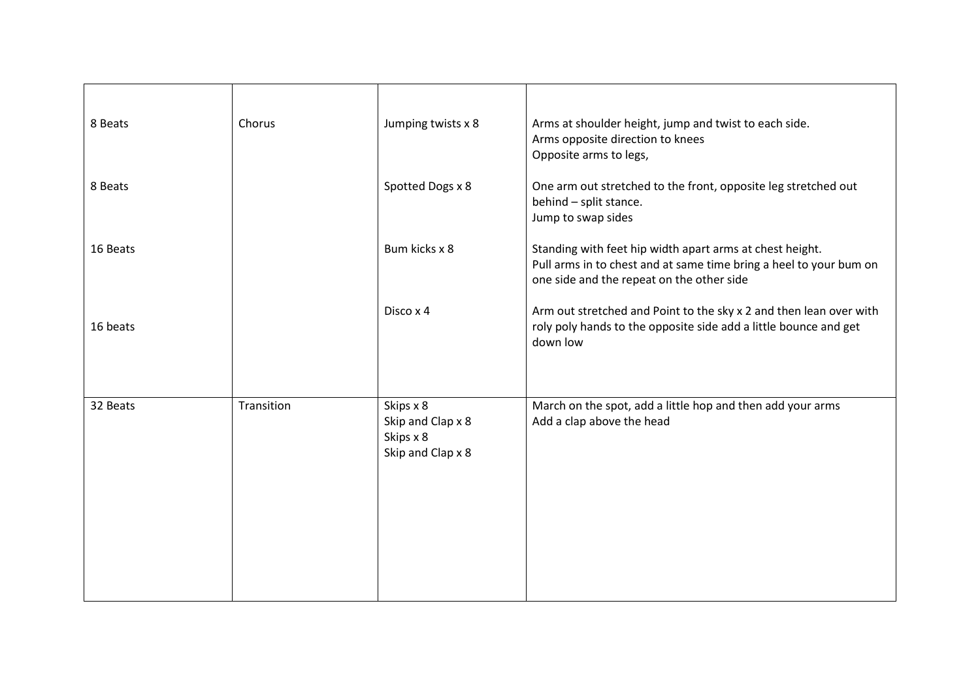| 8 Beats  | Chorus     | Jumping twists x 8                                               | Arms at shoulder height, jump and twist to each side.<br>Arms opposite direction to knees<br>Opposite arms to legs,                                                         |
|----------|------------|------------------------------------------------------------------|-----------------------------------------------------------------------------------------------------------------------------------------------------------------------------|
| 8 Beats  |            | Spotted Dogs x 8                                                 | One arm out stretched to the front, opposite leg stretched out<br>behind - split stance.<br>Jump to swap sides                                                              |
| 16 Beats |            | Bum kicks x 8                                                    | Standing with feet hip width apart arms at chest height.<br>Pull arms in to chest and at same time bring a heel to your bum on<br>one side and the repeat on the other side |
| 16 beats |            | Disco x 4                                                        | Arm out stretched and Point to the sky x 2 and then lean over with<br>roly poly hands to the opposite side add a little bounce and get<br>down low                          |
| 32 Beats | Transition | Skips x 8<br>Skip and Clap x 8<br>Skips x 8<br>Skip and Clap x 8 | March on the spot, add a little hop and then add your arms<br>Add a clap above the head                                                                                     |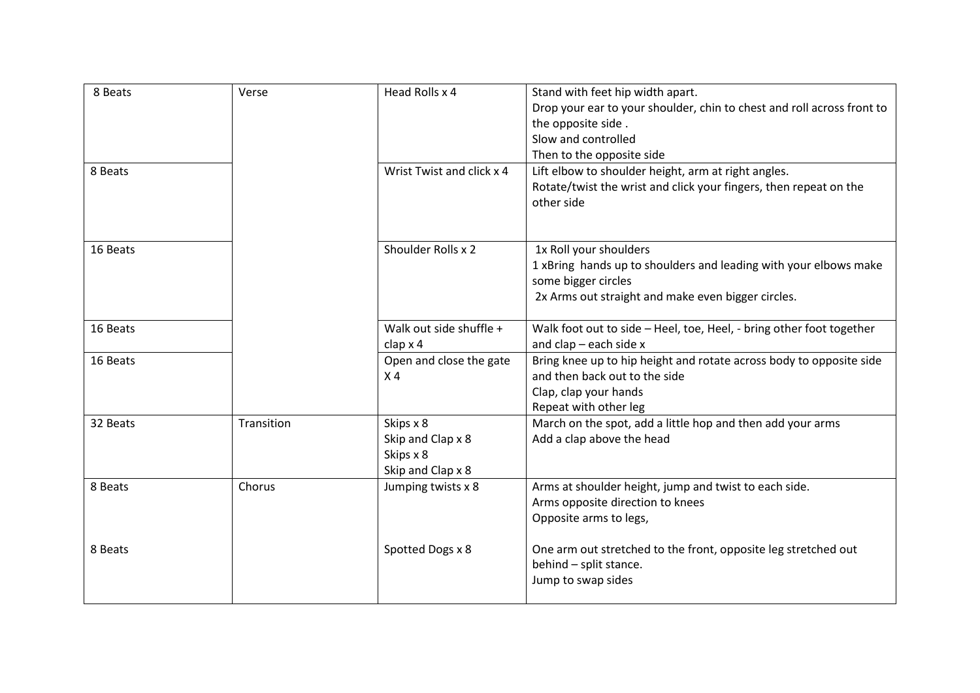| 8 Beats  | Verse      | Head Rolls x 4                                                   | Stand with feet hip width apart.<br>Drop your ear to your shoulder, chin to chest and roll across front to<br>the opposite side.<br>Slow and controlled<br>Then to the opposite side |
|----------|------------|------------------------------------------------------------------|--------------------------------------------------------------------------------------------------------------------------------------------------------------------------------------|
| 8 Beats  |            | Wrist Twist and click x 4                                        | Lift elbow to shoulder height, arm at right angles.<br>Rotate/twist the wrist and click your fingers, then repeat on the<br>other side                                               |
| 16 Beats |            | Shoulder Rolls x 2                                               | 1x Roll your shoulders<br>1 xBring hands up to shoulders and leading with your elbows make<br>some bigger circles<br>2x Arms out straight and make even bigger circles.              |
| 16 Beats |            | Walk out side shuffle +<br>clap x 4                              | Walk foot out to side - Heel, toe, Heel, - bring other foot together<br>and $clap - each side x$                                                                                     |
| 16 Beats |            | Open and close the gate<br>X <sub>4</sub>                        | Bring knee up to hip height and rotate across body to opposite side<br>and then back out to the side<br>Clap, clap your hands<br>Repeat with other leg                               |
| 32 Beats | Transition | Skips x 8<br>Skip and Clap x 8<br>Skips x 8<br>Skip and Clap x 8 | March on the spot, add a little hop and then add your arms<br>Add a clap above the head                                                                                              |
| 8 Beats  | Chorus     | Jumping twists x 8                                               | Arms at shoulder height, jump and twist to each side.<br>Arms opposite direction to knees<br>Opposite arms to legs,                                                                  |
| 8 Beats  |            | Spotted Dogs x 8                                                 | One arm out stretched to the front, opposite leg stretched out<br>behind - split stance.<br>Jump to swap sides                                                                       |